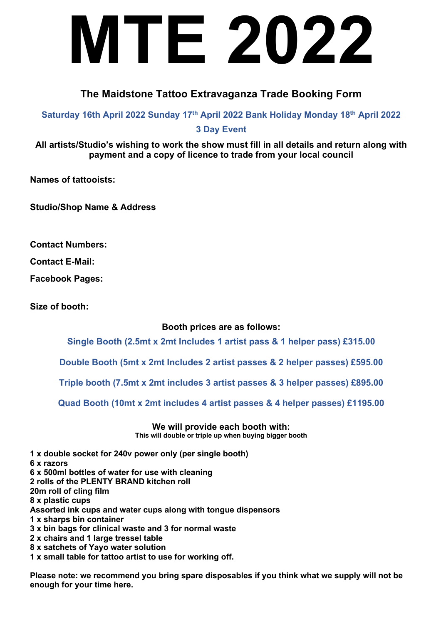## **MTE 2022**

## **The Maidstone Tattoo Extravaganza Trade Booking Form**

**Saturday 16th April 2022 Sunday 17th April 2022 Bank Holiday Monday 18th April 2022**

**3 Day Event**

**All artists/Studio's wishing to work the show must fill in all details and return along with payment and a copy of licence to trade from your local council**

**Names of tattooists:**

**Studio/Shop Name & Address**

**Contact Numbers:** 

**Contact E-Mail:** 

**Facebook Pages:**

**Size of booth:** 

**Booth prices are as follows:**

**Single Booth (2.5mt x 2mt Includes 1 artist pass & 1 helper pass) £315.00**

**Double Booth (5mt x 2mt Includes 2 artist passes & 2 helper passes) £595.00**

**Triple booth (7.5mt x 2mt includes 3 artist passes & 3 helper passes) £895.00**

**Quad Booth (10mt x 2mt includes 4 artist passes & 4 helper passes) £1195.00**

**We will provide each booth with: This will double or triple up when buying bigger booth**

**1 x double socket for 240v power only (per single booth) 6 x razors 6 x 500ml bottles of water for use with cleaning 2 rolls of the PLENTY BRAND kitchen roll 20m roll of cling film 8 x plastic cups Assorted ink cups and water cups along with tongue dispensors 1 x sharps bin container 3 x bin bags for clinical waste and 3 for normal waste 2 x chairs and 1 large tressel table 8 x satchets of Yayo water solution 1 x small table for tattoo artist to use for working off.**

**Please note: we recommend you bring spare disposables if you think what we supply will not be enough for your time here.**